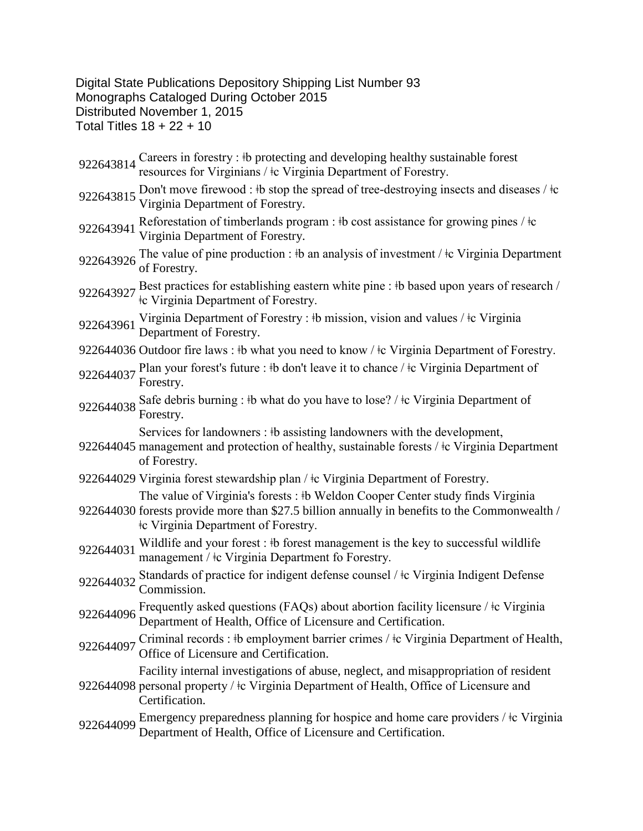## Digital State Publications Depository Shipping List Number 93 Monographs Cataloged During October 2015 Distributed November 1, 2015 Total Titles  $18 + 22 + 10$

| 922643814 | Careers in forestry : #b protecting and developing healthy sustainable forest<br>resources for Virginians / $\pm c$ Virginia Department of Forestry.                                                                                      |
|-----------|-------------------------------------------------------------------------------------------------------------------------------------------------------------------------------------------------------------------------------------------|
| 922643815 | Don't move firewood : #b stop the spread of tree-destroying insects and diseases / $\pm c$<br>Virginia Department of Forestry.                                                                                                            |
| 922643941 | Reforestation of timberlands program : #b cost assistance for growing pines / $\pm c$<br>Virginia Department of Forestry.                                                                                                                 |
| 922643926 | The value of pine production : $\frac{1}{2}$ b an analysis of investment / $\frac{1}{2}$ c Virginia Department<br>of Forestry.                                                                                                            |
|           | 922643927 Best practices for establishing eastern white pine : $\frac{1}{10}$ based upon years of research /<br>te Virginia Department of Forestry.                                                                                       |
| 922643961 | Virginia Department of Forestry : #b mission, vision and values / $\pm c$ Virginia<br>Department of Forestry.                                                                                                                             |
|           | 922644036 Outdoor fire laws : #b what you need to know / $\pm$ c Virginia Department of Forestry.                                                                                                                                         |
| 922644037 | Plan your forest's future : #b don't leave it to chance / #c Virginia Department of<br>Forestry.                                                                                                                                          |
|           | 922644038 Safe debris burning : #b what do you have to lose? / #c Virginia Department of<br>Forestry.                                                                                                                                     |
|           | Services for landowners : #b assisting landowners with the development,<br>922644045 management and protection of healthy, sustainable forests / ‡c Virginia Department<br>of Forestry.                                                   |
|           | 922644029 Virginia forest stewardship plan / $\pm$ c Virginia Department of Forestry.                                                                                                                                                     |
|           | The value of Virginia's forests: #b Weldon Cooper Center study finds Virginia<br>922644030 forests provide more than \$27.5 billion annually in benefits to the Commonwealth /<br><b>Containery</b> Free Virginia Department of Forestry. |
| 922644031 | Wildlife and your forest: #b forest management is the key to successful wildlife<br>management / $\pm c$ Virginia Department fo Forestry.                                                                                                 |
| 922644032 | Standards of practice for indigent defense counsel / tc Virginia Indigent Defense<br>Commission.                                                                                                                                          |
|           | 922644096 Frequently asked questions (FAQs) about abortion facility licensure / $\frac{1}{2}$ C Virginia<br>Department of Health, Office of Licensure and Certification.                                                                  |
| 922644097 | Criminal records : #b employment barrier crimes / #c Virginia Department of Health,<br>Office of Licensure and Certification.                                                                                                             |
|           | Facility internal investigations of abuse, neglect, and misappropriation of resident<br>922644098 personal property / ‡c Virginia Department of Health, Office of Licensure and<br>Certification.                                         |
| 922644099 | Emergency preparedness planning for hospice and home care providers / ‡c Virginia<br>Department of Health, Office of Licensure and Certification.                                                                                         |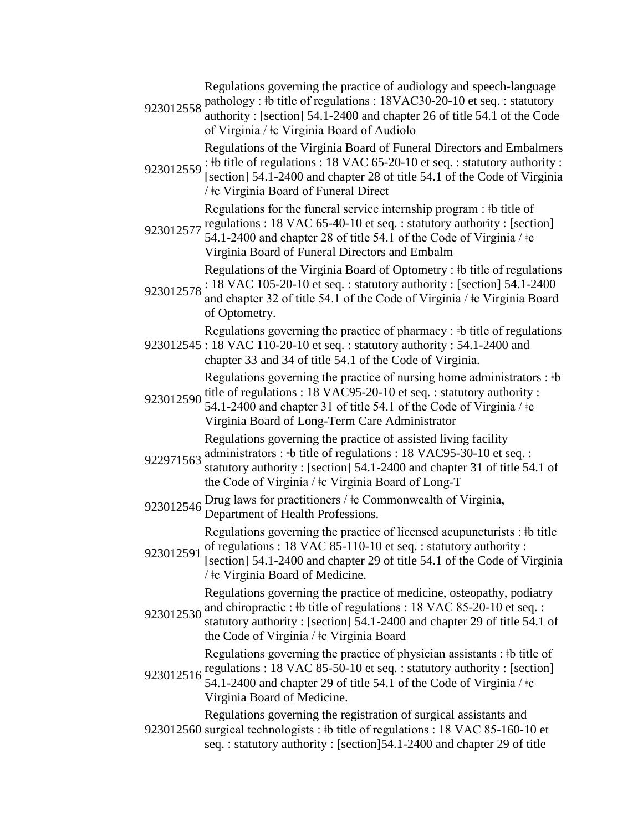Regulations governing the practice of audiology and speech-language

923012558 pathology :  $\frac{1}{8}$  title of regulations : 18VAC30-20-10 et seq. : statutory authority : [section] 54.1-2400 and chapter 26 of title 54.1 of the Code of Virginia / ǂc Virginia Board of Audiolo

923012559 :  $\frac{1}{2}$  the title of regulations : 18 VAC 65-20-10 et seq. : statutory authority : Regulations of the Virginia Board of Funeral Directors and Embalmers

[section] 54.1-2400 and chapter 28 of title 54.1 of the Code of Virginia / ǂc Virginia Board of Funeral Direct

> Regulations for the funeral service internship program : ‡b title of regulations : 18 VAC 65-40-10 et seq. : statutory authority : [section]

923012577 54.1-2400 and chapter 28 of title 54.1 of the Code of Virginia / ǂc Virginia Board of Funeral Directors and Embalm

Regulations of the Virginia Board of Optometry : ‡b title of regulations

 $923012578$  : 18 VAC 105-20-10 et seq. : statutory authority : [section] 54.1-2400<br>923012578 and shapter 32 of title 54.1 of the Code of Virginia (to Virginia Board and chapter 32 of title 54.1 of the Code of Virginia / ǂc Virginia Board of Optometry.

923012545 : 18 VAC 110-20-10 et seq. : statutory authority : 54.1-2400 and Regulations governing the practice of pharmacy : ‡b title of regulations

chapter 33 and 34 of title 54.1 of the Code of Virginia.

923012590 Regulations governing the practice of nursing home administrators :  $\dagger b$ title of regulations : 18 VAC95-20-10 et seq. : statutory authority :

54.1-2400 and chapter 31 of title 54.1 of the Code of Virginia /  $\pm$ c Virginia Board of Long-Term Care Administrator

Regulations governing the practice of assisted living facility

- 922971563 administrators :  $\frac{1}{2}$  title of regulations : 18 VAC95-30-10 et seq. : statutory authority : [section] 54.1-2400 and chapter 31 of title 54.1 of the Code of Virginia / ǂc Virginia Board of Long-T
- 923012546 Drug laws for practitioners /  $\frac{1}{2}$  Commonwealth of Virginia, Department of Health Professions.

Regulations governing the practice of licensed acupuncturists : ‡b title of regulations : 18 VAC 85-110-10 et seq. : statutory authority :

923012591 [section] 54.1-2400 and chapter 29 of title 54.1 of the Code of Virginia / ǂc Virginia Board of Medicine.

923012530 and chiropractic :  $\frac{1}{2}$  title of regulations : 18 VAC 85-20-10 et seq. : Regulations governing the practice of medicine, osteopathy, podiatry

statutory authority : [section] 54.1-2400 and chapter 29 of title 54.1 of the Code of Virginia / ǂc Virginia Board

Regulations governing the practice of physician assistants : ǂb title of regulations : 18 VAC 85-50-10 et seq. : statutory authority : [section]

923012516 54.1-2400 and chapter 29 of title 54.1 of the Code of Virginia / ǂc Virginia Board of Medicine.

923012560 surgical technologists : #b title of regulations : 18 VAC 85-160-10 et Regulations governing the registration of surgical assistants and seq. : statutory authority : [section]54.1-2400 and chapter 29 of title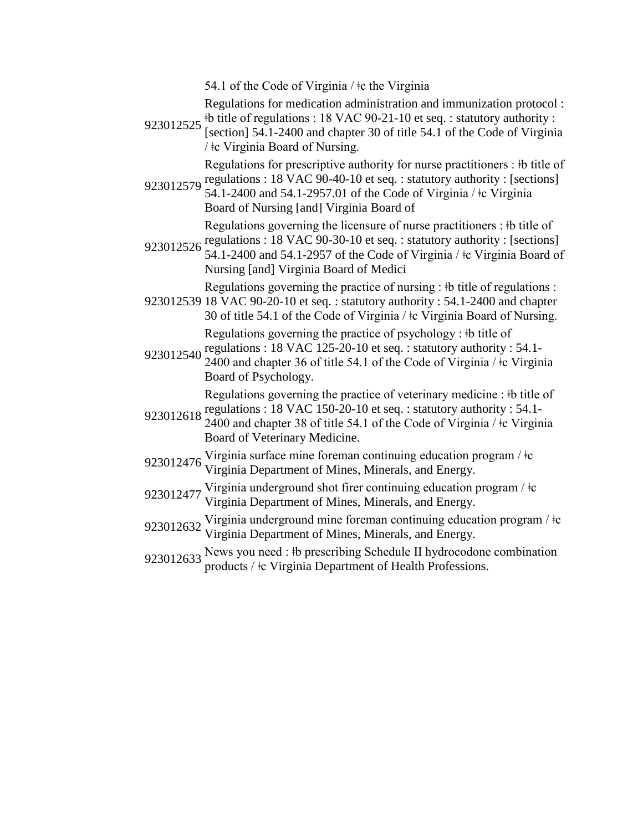54.1 of the Code of Virginia / ǂc the Virginia

Regulations for medication administration and immunization protocol :

923012525 <sup>‡</sup>b title of regulations : 18 VAC 90-21-10 et seq. : statutory authority :<br>923012525  $\frac{1}{2}$  [section] 54.1.2400 and abantar 20 of title 54.1 of the Gode of Virginia [section] 54.1-2400 and chapter 30 of title 54.1 of the Code of Virginia / ǂc Virginia Board of Nursing.

> Regulations for prescriptive authority for nurse practitioners : ‡b title of regulations : 18 VAC 90-40-10 et seq. : statutory authority : [sections]

923012579 54.1-2400 and 54.1-2957.01 of the Code of Virginia / ǂc Virginia Board of Nursing [and] Virginia Board of Regulations governing the licensure of nurse practitioners : ‡b title of

regulations : 18 VAC 90-30-10 et seq. : statutory authority : [sections]

923012526 Egulations : 10 VAC 50-50-10 et seq. : statutory authority : [sections] Nursing [and] Virginia Board of Medici

Regulations governing the practice of nursing : ‡b title of regulations :

923012539 18 VAC 90-20-10 et seq. : statutory authority : 54.1-2400 and chapter 30 of title 54.1 of the Code of Virginia / ǂc Virginia Board of Nursing. Regulations governing the practice of psychology : ǂb title of

923012540 regulations : 18 VAC 125-20-10 et seq. : statutory authority : 54.1- 2400 and chapter 36 of title 54.1 of the Code of Virginia / ǂc Virginia

Board of Psychology. Regulations governing the practice of veterinary medicine : ǂb title of

regulations : 18 VAC 150-20-10 et seq. : statutory authority : 54.1-

- 923012618 2400 and chapter 38 of title 54.1 of the Code of Virginia / ǂc Virginia Board of Veterinary Medicine.
- 923012476 Virginia surface mine foreman continuing education program /  $\pm c$ <br>Virginia Department of Mines, Minerals, and Energy.
- 923012477 Virginia underground shot firer continuing education program /  $\pm c$ <br>Virginia Department of Mines, Minerals, and Energy.
- 923012632 Virginia underground mine foreman continuing education program /  $\pm c$ <br>Virginia Department of Mines, Minerals, and Energy.
- 923012633 News you need : ‡b prescribing Schedule II hydrocodone combination products / ‡c Virginia Department of Health Professions.